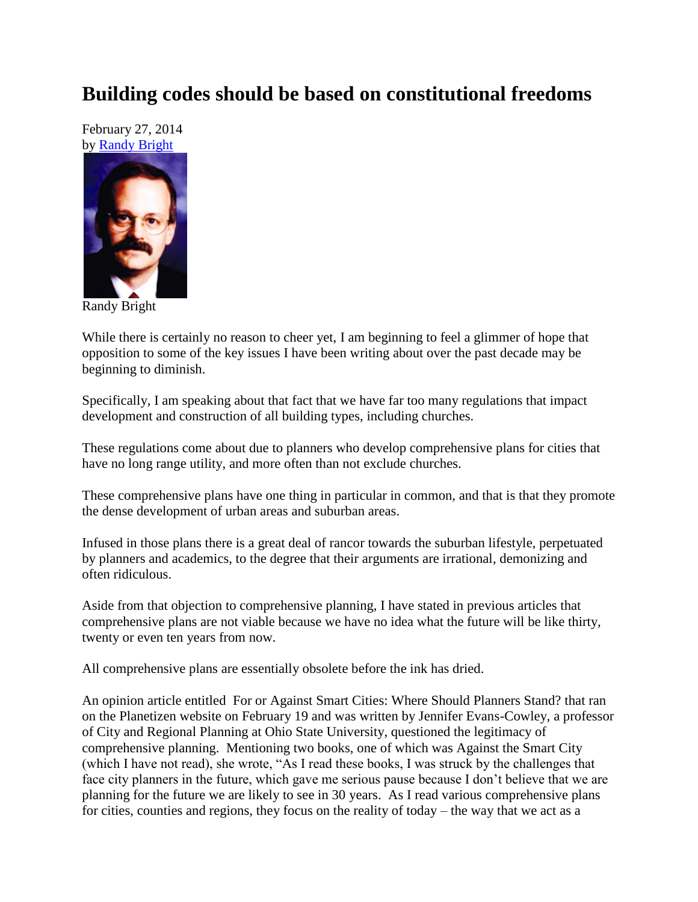## **Building codes should be based on constitutional freedoms**

February 27, 2014 by [Randy Bright](http://tulsabeacon.com/writers/randy-bright/)



Randy Bright

While there is certainly no reason to cheer yet, I am beginning to feel a glimmer of hope that opposition to some of the key issues I have been writing about over the past decade may be beginning to diminish.

Specifically, I am speaking about that fact that we have far too many regulations that impact development and construction of all building types, including churches.

These regulations come about due to planners who develop comprehensive plans for cities that have no long range utility, and more often than not exclude churches.

These comprehensive plans have one thing in particular in common, and that is that they promote the dense development of urban areas and suburban areas.

Infused in those plans there is a great deal of rancor towards the suburban lifestyle, perpetuated by planners and academics, to the degree that their arguments are irrational, demonizing and often ridiculous.

Aside from that objection to comprehensive planning, I have stated in previous articles that comprehensive plans are not viable because we have no idea what the future will be like thirty, twenty or even ten years from now.

All comprehensive plans are essentially obsolete before the ink has dried.

An opinion article entitled For or Against Smart Cities: Where Should Planners Stand? that ran on the Planetizen website on February 19 and was written by Jennifer Evans-Cowley, a professor of City and Regional Planning at Ohio State University, questioned the legitimacy of comprehensive planning. Mentioning two books, one of which was Against the Smart City (which I have not read), she wrote, "As I read these books, I was struck by the challenges that face city planners in the future, which gave me serious pause because I don't believe that we are planning for the future we are likely to see in 30 years. As I read various comprehensive plans for cities, counties and regions, they focus on the reality of today – the way that we act as a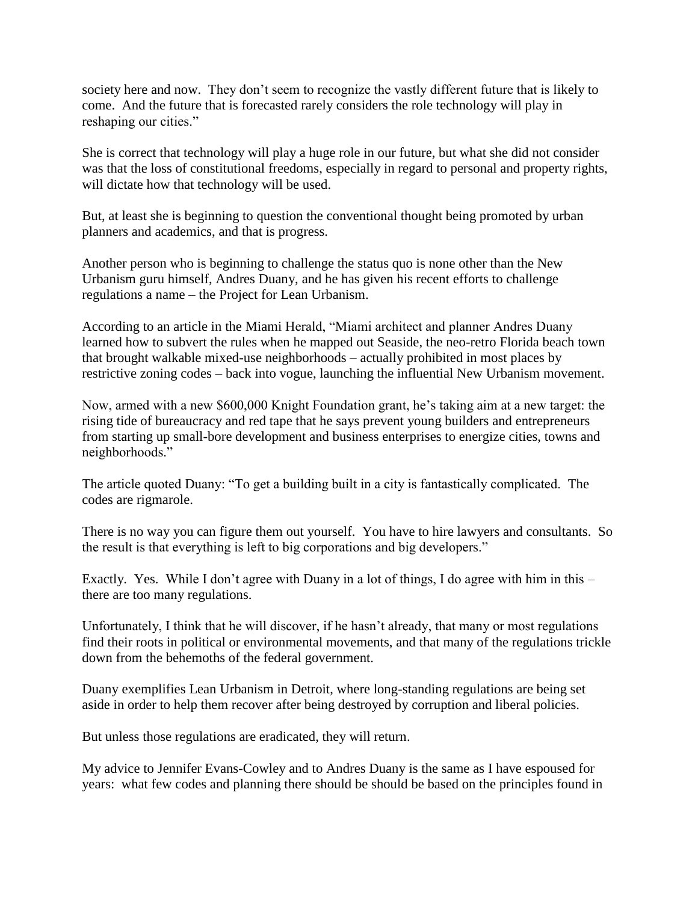society here and now. They don't seem to recognize the vastly different future that is likely to come. And the future that is forecasted rarely considers the role technology will play in reshaping our cities."

She is correct that technology will play a huge role in our future, but what she did not consider was that the loss of constitutional freedoms, especially in regard to personal and property rights, will dictate how that technology will be used.

But, at least she is beginning to question the conventional thought being promoted by urban planners and academics, and that is progress.

Another person who is beginning to challenge the status quo is none other than the New Urbanism guru himself, Andres Duany, and he has given his recent efforts to challenge regulations a name – the Project for Lean Urbanism.

According to an article in the Miami Herald, "Miami architect and planner Andres Duany learned how to subvert the rules when he mapped out Seaside, the neo-retro Florida beach town that brought walkable mixed-use neighborhoods – actually prohibited in most places by restrictive zoning codes – back into vogue, launching the influential New Urbanism movement.

Now, armed with a new \$600,000 Knight Foundation grant, he's taking aim at a new target: the rising tide of bureaucracy and red tape that he says prevent young builders and entrepreneurs from starting up small-bore development and business enterprises to energize cities, towns and neighborhoods."

The article quoted Duany: "To get a building built in a city is fantastically complicated. The codes are rigmarole.

There is no way you can figure them out yourself. You have to hire lawyers and consultants. So the result is that everything is left to big corporations and big developers."

Exactly. Yes. While I don't agree with Duany in a lot of things, I do agree with him in this – there are too many regulations.

Unfortunately, I think that he will discover, if he hasn't already, that many or most regulations find their roots in political or environmental movements, and that many of the regulations trickle down from the behemoths of the federal government.

Duany exemplifies Lean Urbanism in Detroit, where long-standing regulations are being set aside in order to help them recover after being destroyed by corruption and liberal policies.

But unless those regulations are eradicated, they will return.

My advice to Jennifer Evans-Cowley and to Andres Duany is the same as I have espoused for years: what few codes and planning there should be should be based on the principles found in